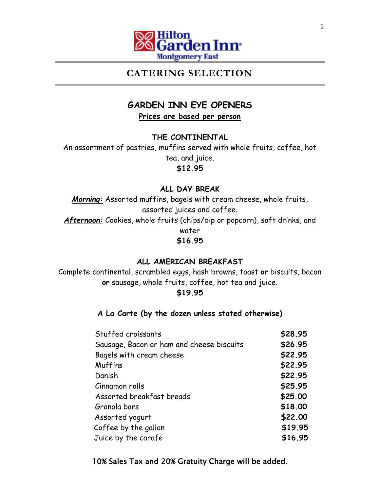

# **CATERING SELECTION**

# **GARDEN INN EYE OPENERS**

**Prices are based per person**

**THE CONTINENTAL**

An assortment of pastries, muffins served with whole fruits, coffee, hot tea, and juice. **\$12.95**

# **ALL DAY BREAK**

*Morning:* Assorted muffins, bagels with cream cheese, whole fruits, assorted juices and coffee. *Afternoon:* Cookies, whole fruits (chips/dip or popcorn), soft drinks, and water **\$16.95**

# **ALL AMERICAN BREAKFAST**

Complete continental, scrambled eggs, hash browns, toast **or** biscuits, bacon **or** sausage, whole fruits, coffee, hot tea and juice.

## **\$19.95**

# **A La Carte (by the dozen unless stated otherwise)**

| Stuffed croissants                        | \$28.95 |
|-------------------------------------------|---------|
| Sausage, Bacon or ham and cheese biscuits | \$26.95 |
| Bagels with cream cheese                  | \$22.95 |
| Muffins                                   | \$22.95 |
| Danish                                    | \$22.95 |
| Cinnamon rolls                            | \$25.95 |
| Assorted breakfast breads                 | \$25.00 |
| Granola bars                              | \$18.00 |
| Assorted yogurt                           | \$22.00 |
| Coffee by the gallon                      | \$19.95 |
| Juice by the carafe                       | \$16.95 |

10% Sales Tax and 20% Gratuity Charge will be added.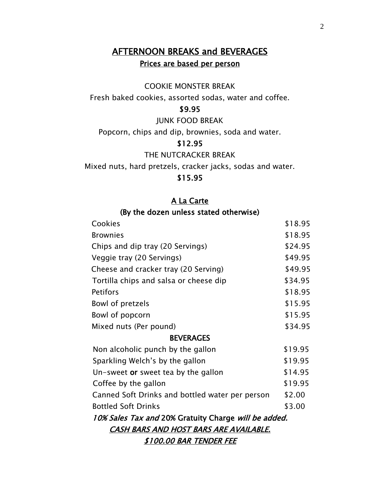# AFTERNOON BREAKS and BEVERAGES Prices are based per person

### COOKIE MONSTER BREAK

Fresh baked cookies, assorted sodas, water and coffee.

### \$9.95

JUNK FOOD BREAK

Popcorn, chips and dip, brownies, soda and water.

## \$12.95

THE NUTCRACKER BREAK

Mixed nuts, hard pretzels, cracker jacks, sodas and water.

### \$15.95

## A La Carte

## (By the dozen unless stated otherwise)

|                                                      | Cookies                                         | \$18.95 |
|------------------------------------------------------|-------------------------------------------------|---------|
|                                                      | <b>Brownies</b>                                 | \$18.95 |
|                                                      | Chips and dip tray (20 Servings)                | \$24.95 |
|                                                      | Veggie tray (20 Servings)                       | \$49.95 |
|                                                      | Cheese and cracker tray (20 Serving)            | \$49.95 |
|                                                      | Tortilla chips and salsa or cheese dip          | \$34.95 |
|                                                      | <b>Petifors</b>                                 | \$18.95 |
|                                                      | Bowl of pretzels                                | \$15.95 |
|                                                      | Bowl of popcorn                                 | \$15.95 |
|                                                      | Mixed nuts (Per pound)                          | \$34.95 |
|                                                      | <b>BEVERAGES</b>                                |         |
|                                                      | Non alcoholic punch by the gallon               | \$19.95 |
|                                                      | Sparkling Welch's by the gallon                 | \$19.95 |
|                                                      | Un-sweet or sweet tea by the gallon             | \$14.95 |
|                                                      | Coffee by the gallon                            | \$19.95 |
|                                                      | Canned Soft Drinks and bottled water per person | \$2.00  |
|                                                      | <b>Bottled Soft Drinks</b>                      | \$3.00  |
| 10% Sales Tax and 20% Gratuity Charge will be added. |                                                 |         |
| CASH BARS AND HOST BARS ARE AVAILABLE.               |                                                 |         |
| \$100.00 BAR TENDER FEE                              |                                                 |         |
|                                                      |                                                 |         |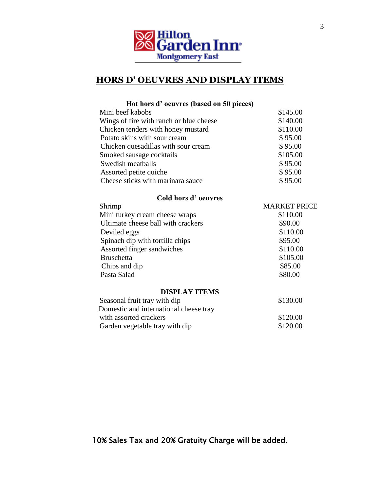

# **HORS D' OEUVRES AND DISPLAY ITEMS**

| Hot hors d'oeuvres (based on 50 pieces) |                     |
|-----------------------------------------|---------------------|
| Mini beef kabobs                        | \$145.00            |
| Wings of fire with ranch or blue cheese | \$140.00            |
| Chicken tenders with honey mustard      | \$110.00            |
| Potato skins with sour cream            | \$95.00             |
| Chicken quesadillas with sour cream     | \$95.00             |
| Smoked sausage cocktails                | \$105.00            |
| Swedish meatballs                       | \$95.00             |
| Assorted petite quiche                  | \$95.00             |
| Cheese sticks with marinara sauce       | \$95.00             |
| Cold hors d'oeuvres                     |                     |
| Shrimp                                  | <b>MARKET PRICE</b> |
| Mini turkey cream cheese wraps          | \$110.00            |
| Ultimate cheese ball with crackers      | \$90.00             |
| Deviled eggs                            | \$110.00            |
| Spinach dip with tortilla chips         | \$95.00             |
| Assorted finger sandwiches              | \$110.00            |
| <b>Bruschetta</b>                       | \$105.00            |
| Chips and dip                           | \$85.00             |
| Pasta Salad                             | \$80.00             |
| <b>DISPLAY ITEMS</b>                    |                     |
| Seasonal fruit tray with dip            | \$130.00            |
| Domestic and international cheese tray  |                     |
| with assorted crackers                  | \$120.00            |
| Garden vegetable tray with dip          | \$120.00            |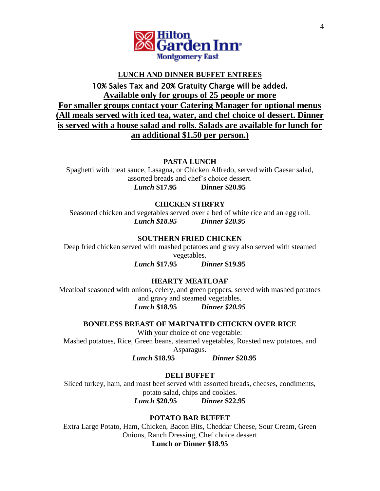

#### **LUNCH AND DINNER BUFFET ENTREES**

# 10% Sales Tax and 20% Gratuity Charge will be added. **Available only for groups of 25 people or more For smaller groups contact your Catering Manager for optional menus (All meals served with iced tea, water, and chef choice of dessert. Dinner is served with a house salad and rolls. Salads are available for lunch for an additional \$1.50 per person.)**

**PASTA LUNCH**

Spaghetti with meat sauce, Lasagna, or Chicken Alfredo, served with Caesar salad, assorted breads and chef's choice dessert. *Lunch* **\$17.95 Dinner \$20.95**

#### **CHICKEN STIRFRY**

Seasoned chicken and vegetables served over a bed of white rice and an egg roll. *Lunch \$18.95 Dinner \$20.95*

#### **SOUTHERN FRIED CHICKEN**

Deep fried chicken served with mashed potatoes and gravy also served with steamed vegetables.

*Lunch* **\$17.95** *Dinner* **\$19.95**

**HEARTY MEATLOAF**

Meatloaf seasoned with onions, celery, and green peppers, served with mashed potatoes and gravy and steamed vegetables. *Lunch* **\$18.95** *Dinner \$20.95*

**BONELESS BREAST OF MARINATED CHICKEN OVER RICE** With your choice of one vegetable: Mashed potatoes, Rice, Green beans, steamed vegetables, Roasted new potatoes, and Asparagus.

 *Lunch* **\$18.95** *Dinner* **\$20.95**

**DELI BUFFET**

Sliced turkey, ham, and roast beef served with assorted breads, cheeses, condiments, potato salad, chips and cookies. *Lunch* **\$20.95** *Dinner* **\$22.95**

**POTATO BAR BUFFET**

Extra Large Potato, Ham, Chicken, Bacon Bits, Cheddar Cheese, Sour Cream, Green Onions, Ranch Dressing, Chef choice dessert **Lunch or Dinner \$18.95**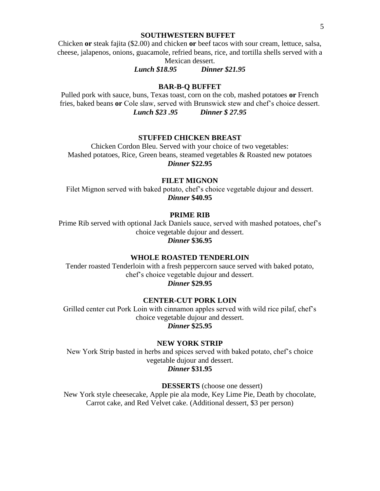#### **SOUTHWESTERN BUFFET**

Chicken **or** steak fajita (\$2.00) and chicken **or** beef tacos with sour cream, lettuce, salsa, cheese, jalapenos, onions, guacamole, refried beans, rice, and tortilla shells served with a Mexican dessert.

*Lunch \$18.95 Dinner \$21.95*

#### **BAR-B-Q BUFFET**

Pulled pork with sauce, buns, Texas toast, corn on the cob, mashed potatoes **or** French fries, baked beans **or** Cole slaw, served with Brunswick stew and chef's choice dessert. *Lunch \$23 .95 Dinner \$ 27.95*

#### **STUFFED CHICKEN BREAST**

Chicken Cordon Bleu. Served with your choice of two vegetables: Mashed potatoes, Rice, Green beans, steamed vegetables & Roasted new potatoes *Dinner* **\$22.95**

#### **FILET MIGNON**

Filet Mignon served with baked potato, chef's choice vegetable dujour and dessert. *Dinner* **\$40.95**

#### **PRIME RIB**

Prime Rib served with optional Jack Daniels sauce, served with mashed potatoes, chef's choice vegetable dujour and dessert.

## *Dinner* **\$36.95**

#### **WHOLE ROASTED TENDERLOIN**

Tender roasted Tenderloin with a fresh peppercorn sauce served with baked potato, chef's choice vegetable dujour and dessert.

*Dinner* **\$29.95**

#### **CENTER-CUT PORK LOIN**

Grilled center cut Pork Loin with cinnamon apples served with wild rice pilaf, chef's choice vegetable dujour and dessert.

*Dinner* **\$25.95**

#### **NEW YORK STRIP**

New York Strip basted in herbs and spices served with baked potato, chef's choice vegetable dujour and dessert. *Dinner* **\$31.95**

**DESSERTS** (choose one dessert)

New York style cheesecake, Apple pie ala mode, Key Lime Pie, Death by chocolate, Carrot cake, and Red Velvet cake. (Additional dessert, \$3 per person)